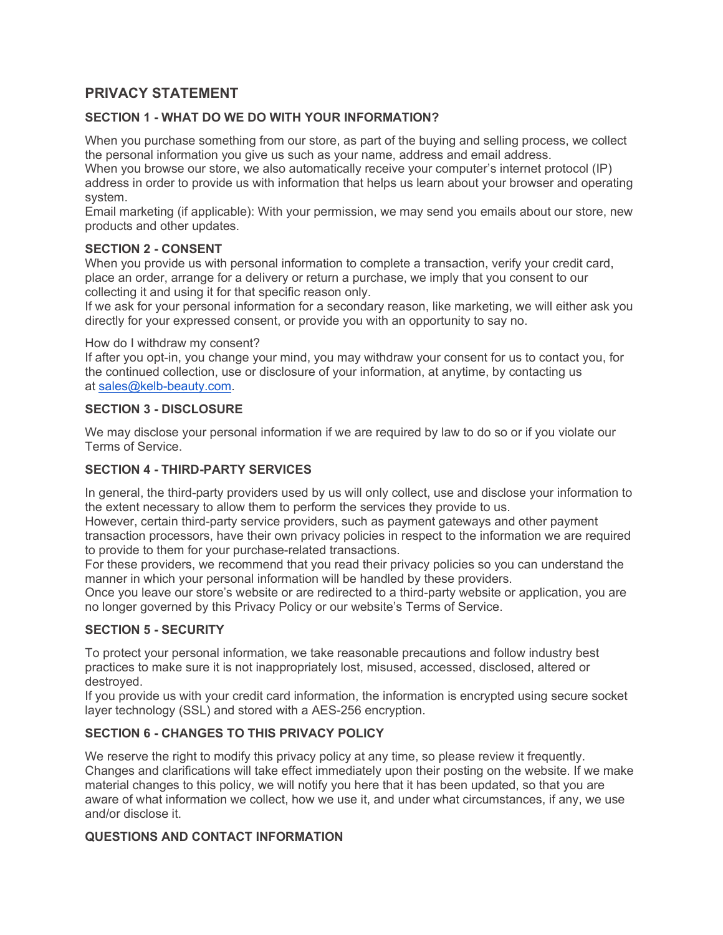# **PRIVACY STATEMENT**

# **SECTION 1 - WHAT DO WE DO WITH YOUR INFORMATION?**

When you purchase something from our store, as part of the buying and selling process, we collect the personal information you give us such as your name, address and email address.

When you browse our store, we also automatically receive your computer's internet protocol (IP) address in order to provide us with information that helps us learn about your browser and operating system.

Email marketing (if applicable): With your permission, we may send you emails about our store, new products and other updates.

## **SECTION 2 - CONSENT**

When you provide us with personal information to complete a transaction, verify your credit card, place an order, arrange for a delivery or return a purchase, we imply that you consent to our collecting it and using it for that specific reason only.

If we ask for your personal information for a secondary reason, like marketing, we will either ask you directly for your expressed consent, or provide you with an opportunity to say no.

#### How do I withdraw my consent?

If after you opt-in, you change your mind, you may withdraw your consent for us to contact you, for the continued collection, use or disclosure of your information, at anytime, by contacting us at [sales@kelb-beauty.com.](mailto:sales@kelb-beauty.com)

#### **SECTION 3 - DISCLOSURE**

We may disclose your personal information if we are required by law to do so or if you violate our Terms of Service.

## **SECTION 4 - THIRD-PARTY SERVICES**

In general, the third-party providers used by us will only collect, use and disclose your information to the extent necessary to allow them to perform the services they provide to us.

However, certain third-party service providers, such as payment gateways and other payment transaction processors, have their own privacy policies in respect to the information we are required to provide to them for your purchase-related transactions.

For these providers, we recommend that you read their privacy policies so you can understand the manner in which your personal information will be handled by these providers.

Once you leave our store's website or are redirected to a third-party website or application, you are no longer governed by this Privacy Policy or our website's Terms of Service.

## **SECTION 5 - SECURITY**

To protect your personal information, we take reasonable precautions and follow industry best practices to make sure it is not inappropriately lost, misused, accessed, disclosed, altered or destroyed.

If you provide us with your credit card information, the information is encrypted using secure socket layer technology (SSL) and stored with a AES-256 encryption.

## **SECTION 6 - CHANGES TO THIS PRIVACY POLICY**

We reserve the right to modify this privacy policy at any time, so please review it frequently. Changes and clarifications will take effect immediately upon their posting on the website. If we make material changes to this policy, we will notify you here that it has been updated, so that you are aware of what information we collect, how we use it, and under what circumstances, if any, we use and/or disclose it.

## **QUESTIONS AND CONTACT INFORMATION**